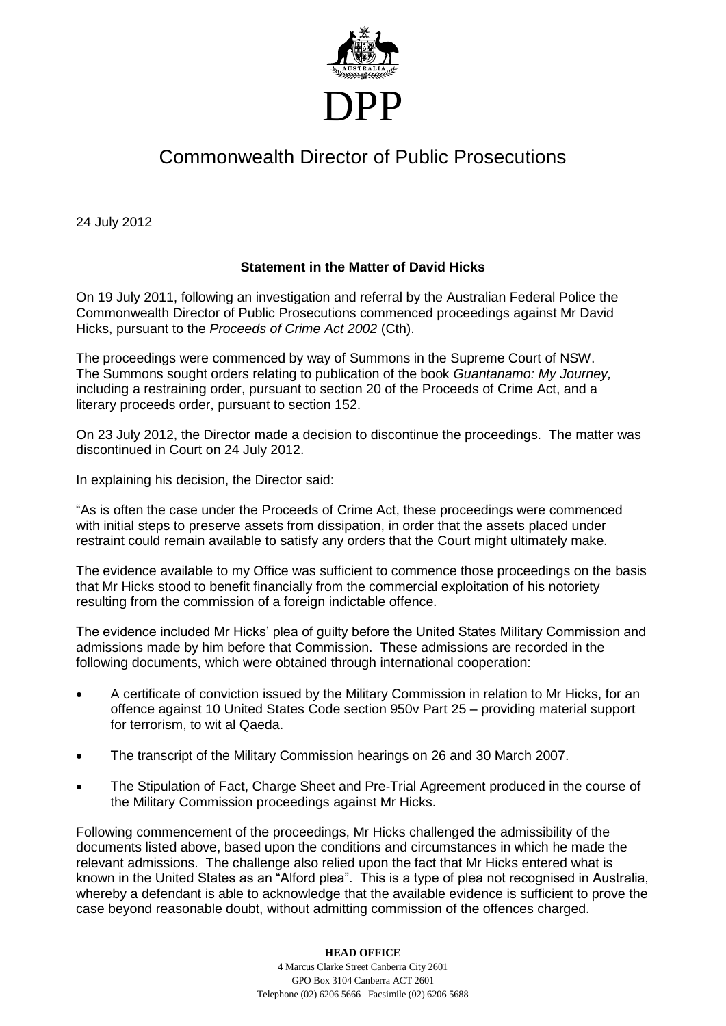

## Commonwealth Director of Public Prosecutions

24 July 2012

## **Statement in the Matter of David Hicks**

On 19 July 2011, following an investigation and referral by the Australian Federal Police the Commonwealth Director of Public Prosecutions commenced proceedings against Mr David Hicks, pursuant to the *Proceeds of Crime Act 2002* (Cth).

The proceedings were commenced by way of Summons in the Supreme Court of NSW. The Summons sought orders relating to publication of the book *Guantanamo: My Journey,*  including a restraining order, pursuant to section 20 of the Proceeds of Crime Act, and a literary proceeds order, pursuant to section 152.

On 23 July 2012, the Director made a decision to discontinue the proceedings. The matter was discontinued in Court on 24 July 2012.

In explaining his decision, the Director said:

"As is often the case under the Proceeds of Crime Act, these proceedings were commenced with initial steps to preserve assets from dissipation, in order that the assets placed under restraint could remain available to satisfy any orders that the Court might ultimately make.

The evidence available to my Office was sufficient to commence those proceedings on the basis that Mr Hicks stood to benefit financially from the commercial exploitation of his notoriety resulting from the commission of a foreign indictable offence.

The evidence included Mr Hicks' plea of guilty before the United States Military Commission and admissions made by him before that Commission. These admissions are recorded in the following documents, which were obtained through international cooperation:

- A certificate of conviction issued by the Military Commission in relation to Mr Hicks, for an offence against 10 United States Code section 950v Part 25 – providing material support for terrorism, to wit al Qaeda.
- The transcript of the Military Commission hearings on 26 and 30 March 2007.
- The Stipulation of Fact, Charge Sheet and Pre-Trial Agreement produced in the course of the Military Commission proceedings against Mr Hicks.

Following commencement of the proceedings, Mr Hicks challenged the admissibility of the documents listed above, based upon the conditions and circumstances in which he made the relevant admissions. The challenge also relied upon the fact that Mr Hicks entered what is known in the United States as an "Alford plea". This is a type of plea not recognised in Australia, whereby a defendant is able to acknowledge that the available evidence is sufficient to prove the case beyond reasonable doubt, without admitting commission of the offences charged.

## **HEAD OFFICE**